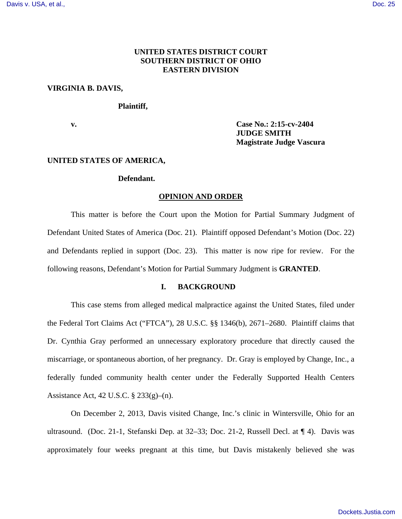# **UNITED STATES DISTRICT COURT SOUTHERN DISTRICT OF OHIO EASTERN DIVISION**

### **VIRGINIA B. DAVIS,**

#### **Plaintiff,**

**v. Case No.: 2:15-cv-2404 JUDGE SMITH Magistrate Judge Vascura**

#### **UNITED STATES OF AMERICA,**

#### **Defendant.**

#### **OPINION AND ORDER**

This matter is before the Court upon the Motion for Partial Summary Judgment of Defendant United States of America (Doc. 21). Plaintiff opposed Defendant's Motion (Doc. 22) and Defendants replied in support (Doc. 23). This matter is now ripe for review. For the following reasons, Defendant's Motion for Partial Summary Judgment is **GRANTED**.

### **I. BACKGROUND**

This case stems from alleged medical malpractice against the United States, filed under the Federal Tort Claims Act ("FTCA"), 28 U.S.C. §§ 1346(b), 2671–2680. Plaintiff claims that Dr. Cynthia Gray performed an unnecessary exploratory procedure that directly caused the miscarriage, or spontaneous abortion, of her pregnancy. Dr. Gray is employed by Change, Inc., a federally funded community health center under the Federally Supported Health Centers Assistance Act, 42 U.S.C. § 233(g)–(n).

On December 2, 2013, Davis visited Change, Inc.'s clinic in Wintersville, Ohio for an ultrasound. (Doc. 21-1, Stefanski Dep. at 32–33; Doc. 21-2, Russell Decl. at  $\P$  4). Davis was approximately four weeks pregnant at this time, but Davis mistakenly believed she was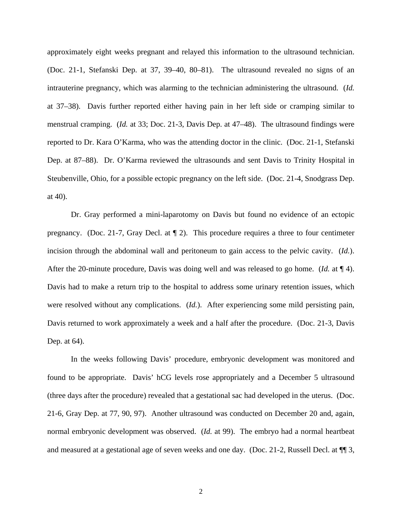approximately eight weeks pregnant and relayed this information to the ultrasound technician. (Doc. 21-1, Stefanski Dep. at 37, 39–40, 80–81). The ultrasound revealed no signs of an intrauterine pregnancy, which was alarming to the technician administering the ultrasound. (*Id.* at 37–38). Davis further reported either having pain in her left side or cramping similar to menstrual cramping. (*Id.* at 33; Doc. 21-3, Davis Dep. at 47–48). The ultrasound findings were reported to Dr. Kara O'Karma, who was the attending doctor in the clinic. (Doc. 21-1, Stefanski Dep. at 87–88). Dr. O'Karma reviewed the ultrasounds and sent Davis to Trinity Hospital in Steubenville, Ohio, for a possible ectopic pregnancy on the left side. (Doc. 21-4, Snodgrass Dep. at 40).

Dr. Gray performed a mini-laparotomy on Davis but found no evidence of an ectopic pregnancy. (Doc. 21-7, Gray Decl. at ¶ 2). This procedure requires a three to four centimeter incision through the abdominal wall and peritoneum to gain access to the pelvic cavity. (*Id.*). After the 20-minute procedure, Davis was doing well and was released to go home. (*Id.* at ¶ 4). Davis had to make a return trip to the hospital to address some urinary retention issues, which were resolved without any complications. (*Id.*). After experiencing some mild persisting pain, Davis returned to work approximately a week and a half after the procedure. (Doc. 21-3, Davis Dep. at 64).

In the weeks following Davis' procedure, embryonic development was monitored and found to be appropriate. Davis' hCG levels rose appropriately and a December 5 ultrasound (three days after the procedure) revealed that a gestational sac had developed in the uterus. (Doc. 21-6, Gray Dep. at 77, 90, 97). Another ultrasound was conducted on December 20 and, again, normal embryonic development was observed. (*Id.* at 99). The embryo had a normal heartbeat and measured at a gestational age of seven weeks and one day. (Doc. 21-2, Russell Decl. at ¶¶ 3,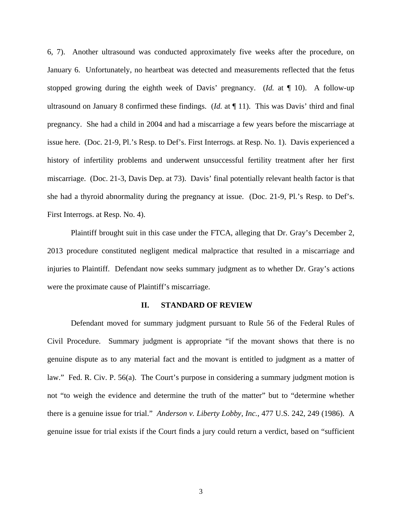6, 7). Another ultrasound was conducted approximately five weeks after the procedure, on January 6. Unfortunately, no heartbeat was detected and measurements reflected that the fetus stopped growing during the eighth week of Davis' pregnancy. (*Id.* at ¶ 10). A follow-up ultrasound on January 8 confirmed these findings. (*Id.* at ¶ 11). This was Davis' third and final pregnancy. She had a child in 2004 and had a miscarriage a few years before the miscarriage at issue here. (Doc. 21-9, Pl.'s Resp. to Def's. First Interrogs. at Resp. No. 1). Davis experienced a history of infertility problems and underwent unsuccessful fertility treatment after her first miscarriage. (Doc. 21-3, Davis Dep. at 73). Davis' final potentially relevant health factor is that she had a thyroid abnormality during the pregnancy at issue. (Doc. 21-9, Pl.'s Resp. to Def's. First Interrogs. at Resp. No. 4).

Plaintiff brought suit in this case under the FTCA, alleging that Dr. Gray's December 2, 2013 procedure constituted negligent medical malpractice that resulted in a miscarriage and injuries to Plaintiff. Defendant now seeks summary judgment as to whether Dr. Gray's actions were the proximate cause of Plaintiff's miscarriage.

#### **II. STANDARD OF REVIEW**

Defendant moved for summary judgment pursuant to Rule 56 of the Federal Rules of Civil Procedure. Summary judgment is appropriate "if the movant shows that there is no genuine dispute as to any material fact and the movant is entitled to judgment as a matter of law." Fed. R. Civ. P. 56(a). The Court's purpose in considering a summary judgment motion is not "to weigh the evidence and determine the truth of the matter" but to "determine whether there is a genuine issue for trial." *Anderson v. Liberty Lobby, Inc.*, 477 U.S. 242, 249 (1986). A genuine issue for trial exists if the Court finds a jury could return a verdict, based on "sufficient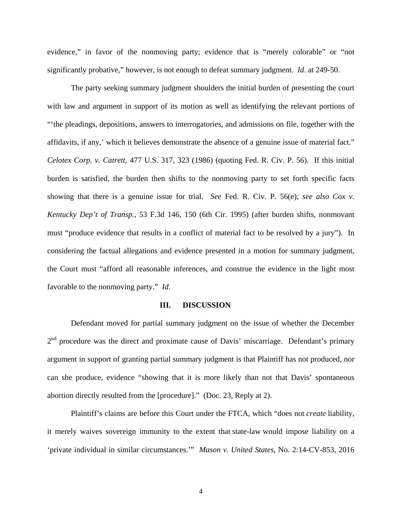evidence," in favor of the nonmoving party; evidence that is "merely colorable" or "not significantly probative," however, is not enough to defeat summary judgment. *Id*. at 249-50.

The party seeking summary judgment shoulders the initial burden of presenting the court with law and argument in support of its motion as well as identifying the relevant portions of "'the pleadings, depositions, answers to interrogatories, and admissions on file, together with the affidavits, if any,' which it believes demonstrate the absence of a genuine issue of material fact." *Celotex Corp. v. Catrett*, 477 U.S. 317, 323 (1986) (quoting Fed. R. Civ. P. 56). If this initial burden is satisfied, the burden then shifts to the nonmoving party to set forth specific facts showing that there is a genuine issue for trial. *See* Fed. R. Civ. P. 56(e); *see also Cox v. Kentucky Dep't of Transp.*, 53 F.3d 146, 150 (6th Cir. 1995) (after burden shifts, nonmovant must "produce evidence that results in a conflict of material fact to be resolved by a jury"). In considering the factual allegations and evidence presented in a motion for summary judgment, the Court must "afford all reasonable inferences, and construe the evidence in the light most favorable to the nonmoving party." *Id*.

#### **III. DISCUSSION**

Defendant moved for partial summary judgment on the issue of whether the December 2<sup>nd</sup> procedure was the direct and proximate cause of Davis' miscarriage. Defendant's primary argument in support of granting partial summary judgment is that Plaintiff has not produced, nor can she produce, evidence "showing that it is more likely than not that Davis' spontaneous abortion directly resulted from the [procedure]." (Doc. 23, Reply at 2).

Plaintiff's claims are before this Court under the FTCA, which "does not *create* liability, it merely waives sovereign immunity to the extent that state-law would impose liability on a 'private individual in similar circumstances.'" *Mason v. United States*, No. 2:14-CV-853, 2016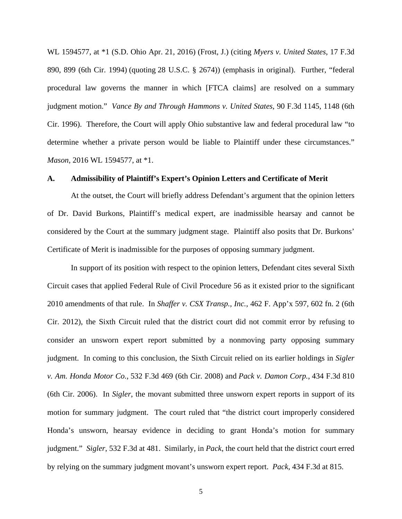WL 1594577, at \*1 (S.D. Ohio Apr. 21, 2016) (Frost, J.) (citing *Myers v. United States*, 17 F.3d 890, 899 (6th Cir. 1994) (quoting 28 U.S.C. § 2674)) (emphasis in original). Further, "federal procedural law governs the manner in which [FTCA claims] are resolved on a summary judgment motion." *Vance By and Through Hammons v. United States*, 90 F.3d 1145, 1148 (6th Cir. 1996). Therefore, the Court will apply Ohio substantive law and federal procedural law "to determine whether a private person would be liable to Plaintiff under these circumstances." *Mason*, 2016 WL 1594577, at \*1.

# **A. Admissibility of Plaintiff's Expert's Opinion Letters and Certificate of Merit**

At the outset, the Court will briefly address Defendant's argument that the opinion letters of Dr. David Burkons, Plaintiff's medical expert, are inadmissible hearsay and cannot be considered by the Court at the summary judgment stage. Plaintiff also posits that Dr. Burkons' Certificate of Merit is inadmissible for the purposes of opposing summary judgment.

In support of its position with respect to the opinion letters, Defendant cites several Sixth Circuit cases that applied Federal Rule of Civil Procedure 56 as it existed prior to the significant 2010 amendments of that rule. In *Shaffer v. CSX Transp., Inc.*, 462 F. App'x 597, 602 fn. 2 (6th Cir. 2012), the Sixth Circuit ruled that the district court did not commit error by refusing to consider an unsworn expert report submitted by a nonmoving party opposing summary judgment. In coming to this conclusion, the Sixth Circuit relied on its earlier holdings in *Sigler v. Am. Honda Motor Co.,* 532 F.3d 469 (6th Cir. 2008) and *Pack v. Damon Corp.*, 434 F.3d 810 (6th Cir. 2006). In *Sigler*, the movant submitted three unsworn expert reports in support of its motion for summary judgment. The court ruled that "the district court improperly considered Honda's unsworn, hearsay evidence in deciding to grant Honda's motion for summary judgment." *Sigler*, 532 F.3d at 481. Similarly, in *Pack*, the court held that the district court erred by relying on the summary judgment movant's unsworn expert report. *Pack*, 434 F.3d at 815.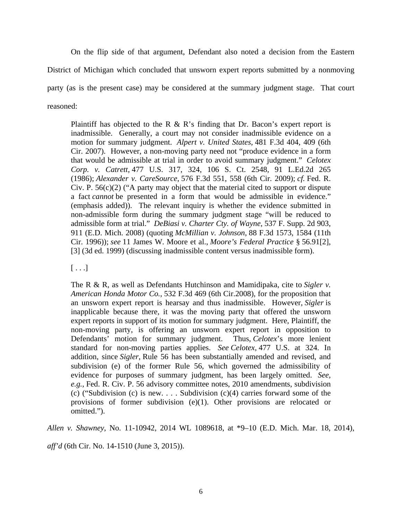On the flip side of that argument, Defendant also noted a decision from the Eastern District of Michigan which concluded that unsworn expert reports submitted by a nonmoving party (as is the present case) may be considered at the summary judgment stage. That court reasoned:

Plaintiff has objected to the R  $\&$  R's finding that Dr. Bacon's expert report is inadmissible. Generally, a court may not consider inadmissible evidence on a motion for summary judgment. *Alpert v. United States*, 481 F.3d 404, 409 (6th Cir. 2007). However, a non-moving party need not "produce evidence in a form that would be admissible at trial in order to avoid summary judgment." *Celotex Corp. v. Catrett*, 477 U.S. 317, 324, 106 S. Ct. 2548, 91 L.Ed.2d 265 (1986); *Alexander v. CareSource*, 576 F.3d 551, 558 (6th Cir. 2009); *cf.* Fed. R. Civ. P.  $56(c)(2)$  ("A party may object that the material cited to support or dispute a fact *cannot* be presented in a form that would be admissible in evidence." (emphasis added)). The relevant inquiry is whether the evidence submitted in non-admissible form during the summary judgment stage "will be reduced to admissible form at trial." *DeBiasi v. Charter Cty. of Wayne*, 537 F. Supp. 2d 903, 911 (E.D. Mich. 2008) (quoting *McMillian v. Johnson*, 88 F.3d 1573, 1584 (11th Cir. 1996)); *see* 11 James W. Moore et al., *Moore's Federal Practice* § 56.91[2], [3] (3d ed. 1999) (discussing inadmissible content versus inadmissible form).

 $[\ldots]$ 

The R & R, as well as Defendants Hutchinson and Mamidipaka, cite to *Sigler v. American Honda Motor Co.*, 532 F.3d 469 (6th Cir.2008), for the proposition that an unsworn expert report is hearsay and thus inadmissible. However, *Sigler* is inapplicable because there, it was the moving party that offered the unsworn expert reports in support of its motion for summary judgment. Here, Plaintiff, the non-moving party, is offering an unsworn expert report in opposition to Defendants' motion for summary judgment. Thus, *Celotex*'s more lenient standard for non-moving parties applies. *See Celotex*, 477 U.S. at 324. In addition, since *Sigler*, Rule 56 has been substantially amended and revised, and subdivision (e) of the former Rule 56, which governed the admissibility of evidence for purposes of summary judgment, has been largely omitted. *See, e.g.,* Fed. R. Civ. P. 56 advisory committee notes, 2010 amendments, subdivision (c) ("Subdivision (c) is new.  $\ldots$  Subdivision (c)(4) carries forward some of the provisions of former subdivision (e)(1). Other provisions are relocated or omitted.").

*Allen v. Shawney*, No. 11-10942, 2014 WL 1089618, at \*9–10 (E.D. Mich. Mar. 18, 2014),

*aff'd* (6th Cir. No. 14-1510 (June 3, 2015)).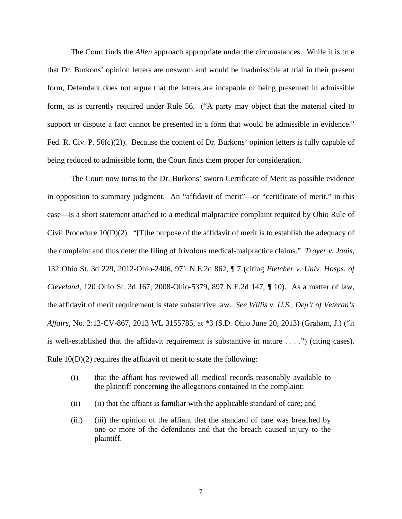The Court finds the *Allen* approach appropriate under the circumstances. While it is true that Dr. Burkons' opinion letters are unsworn and would be inadmissible at trial in their present form, Defendant does not argue that the letters are incapable of being presented in admissible form, as is currently required under Rule 56. ("A party may object that the material cited to support or dispute a fact cannot be presented in a form that would be admissible in evidence." Fed. R. Civ. P.  $56(c)(2)$ ). Because the content of Dr. Burkons' opinion letters is fully capable of being reduced to admissible form, the Court finds them proper for consideration.

The Court now turns to the Dr. Burkons' sworn Certificate of Merit as possible evidence in opposition to summary judgment. An "affidavit of merit"—or "certificate of merit," in this case—is a short statement attached to a medical malpractice complaint required by Ohio Rule of Civil Procedure  $10(D)(2)$ . "[T]he purpose of the affidavit of merit is to establish the adequacy of the complaint and thus deter the filing of frivolous medical-malpractice claims." *Troyer v. Janis*, 132 Ohio St. 3d 229, 2012-Ohio-2406, 971 N.E.2d 862, ¶ 7 (citing *Fletcher v. Univ. Hosps. of Cleveland*, 120 Ohio St. 3d 167, 2008-Ohio-5379, 897 N.E.2d 147, ¶ 10). As a matter of law, the affidavit of merit requirement is state substantive law. *See Willis v. U.S., Dep't of Veteran's Affairs*, No. 2:12-CV-867, 2013 WL 3155785, at \*3 (S.D. Ohio June 20, 2013) (Graham, J.) ("it is well-established that the affidavit requirement is substantive in nature . . . .") (citing cases). Rule 10(D)(2) requires the affidavit of merit to state the following:

- (i) that the affiant has reviewed all medical records reasonably available to the plaintiff concerning the allegations contained in the complaint;
- (ii) (ii) that the affiant is familiar with the applicable standard of care; and
- (iii) (iii) the opinion of the affiant that the standard of care was breached by one or more of the defendants and that the breach caused injury to the plaintiff.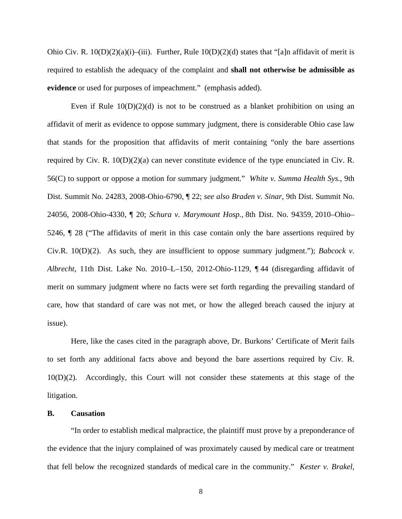Ohio Civ. R.  $10(D)(2)(a)(i)$ –(iii). Further, Rule  $10(D)(2)(d)$  states that "[a]n affidavit of merit is required to establish the adequacy of the complaint and **shall not otherwise be admissible as evidence** or used for purposes of impeachment." (emphasis added).

Even if Rule  $10(D)(2)(d)$  is not to be construed as a blanket prohibition on using an affidavit of merit as evidence to oppose summary judgment, there is considerable Ohio case law that stands for the proposition that affidavits of merit containing "only the bare assertions required by Civ. R.  $10(D)(2)(a)$  can never constitute evidence of the type enunciated in Civ. R. 56(C) to support or oppose a motion for summary judgment." *White v. Summa Health Sys.*, 9th Dist. Summit No. 24283, 2008-Ohio-6790, ¶ 22; *see also Braden v. Sinar*, 9th Dist. Summit No. 24056, 2008-Ohio-4330, ¶ 20; *Schura v. Marymount Hosp.,* 8th Dist. No. 94359, 2010–Ohio– 5246, ¶ 28 ("The affidavits of merit in this case contain only the bare assertions required by Civ.R. 10(D)(2). As such, they are insufficient to oppose summary judgment."); *Babcock v. Albrecht*, 11th Dist. Lake No. 2010–L–150, 2012-Ohio-1129, ¶ 44 (disregarding affidavit of merit on summary judgment where no facts were set forth regarding the prevailing standard of care, how that standard of care was not met, or how the alleged breach caused the injury at issue).

Here, like the cases cited in the paragraph above, Dr. Burkons' Certificate of Merit fails to set forth any additional facts above and beyond the bare assertions required by Civ. R. 10(D)(2). Accordingly, this Court will not consider these statements at this stage of the litigation.

#### **B. Causation**

"In order to establish medical malpractice, the plaintiff must prove by a preponderance of the evidence that the injury complained of was proximately caused by medical care or treatment that fell below the recognized standards of medical care in the community." *Kester v. Brakel*,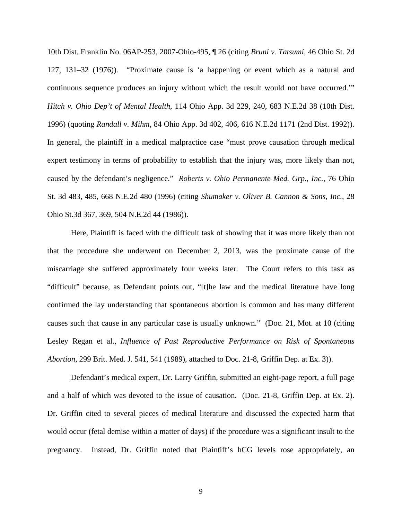10th Dist. Franklin No. 06AP-253, 2007-Ohio-495, ¶ 26 (citing *Bruni v. Tatsumi*, 46 Ohio St. 2d 127, 131–32 (1976)). "Proximate cause is 'a happening or event which as a natural and continuous sequence produces an injury without which the result would not have occurred.'" *Hitch v. Ohio Dep't of Mental Health*, 114 Ohio App. 3d 229, 240, 683 N.E.2d 38 (10th Dist. 1996) (quoting *Randall v. Mihm*, 84 Ohio App. 3d 402, 406, 616 N.E.2d 1171 (2nd Dist. 1992)). In general, the plaintiff in a medical malpractice case "must prove causation through medical expert testimony in terms of probability to establish that the injury was, more likely than not, caused by the defendant's negligence." *Roberts v. Ohio Permanente Med. Grp., Inc.*, 76 Ohio St. 3d 483, 485, 668 N.E.2d 480 (1996) (citing *Shumaker v. Oliver B. Cannon & Sons, Inc.*, 28 Ohio St.3d 367, 369, 504 N.E.2d 44 (1986)).

Here, Plaintiff is faced with the difficult task of showing that it was more likely than not that the procedure she underwent on December 2, 2013, was the proximate cause of the miscarriage she suffered approximately four weeks later. The Court refers to this task as "difficult" because, as Defendant points out, "[t]he law and the medical literature have long confirmed the lay understanding that spontaneous abortion is common and has many different causes such that cause in any particular case is usually unknown." (Doc. 21, Mot. at 10 (citing Lesley Regan et al., *Influence of Past Reproductive Performance on Risk of Spontaneous Abortion*, 299 Brit. Med. J. 541, 541 (1989), attached to Doc. 21-8, Griffin Dep. at Ex. 3)).

Defendant's medical expert, Dr. Larry Griffin, submitted an eight-page report, a full page and a half of which was devoted to the issue of causation. (Doc. 21-8, Griffin Dep. at Ex. 2). Dr. Griffin cited to several pieces of medical literature and discussed the expected harm that would occur (fetal demise within a matter of days) if the procedure was a significant insult to the pregnancy. Instead, Dr. Griffin noted that Plaintiff's hCG levels rose appropriately, an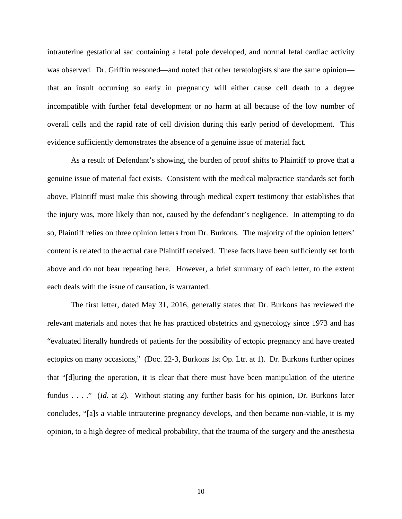intrauterine gestational sac containing a fetal pole developed, and normal fetal cardiac activity was observed. Dr. Griffin reasoned—and noted that other teratologists share the same opinion that an insult occurring so early in pregnancy will either cause cell death to a degree incompatible with further fetal development or no harm at all because of the low number of overall cells and the rapid rate of cell division during this early period of development. This evidence sufficiently demonstrates the absence of a genuine issue of material fact.

As a result of Defendant's showing, the burden of proof shifts to Plaintiff to prove that a genuine issue of material fact exists. Consistent with the medical malpractice standards set forth above, Plaintiff must make this showing through medical expert testimony that establishes that the injury was, more likely than not, caused by the defendant's negligence. In attempting to do so, Plaintiff relies on three opinion letters from Dr. Burkons. The majority of the opinion letters' content is related to the actual care Plaintiff received. These facts have been sufficiently set forth above and do not bear repeating here. However, a brief summary of each letter, to the extent each deals with the issue of causation, is warranted.

The first letter, dated May 31, 2016, generally states that Dr. Burkons has reviewed the relevant materials and notes that he has practiced obstetrics and gynecology since 1973 and has "evaluated literally hundreds of patients for the possibility of ectopic pregnancy and have treated ectopics on many occasions," (Doc. 22-3, Burkons 1st Op. Ltr. at 1). Dr. Burkons further opines that "[d]uring the operation, it is clear that there must have been manipulation of the uterine fundus . . . ." (*Id.* at 2). Without stating any further basis for his opinion, Dr. Burkons later concludes, "[a]s a viable intrauterine pregnancy develops, and then became non-viable, it is my opinion, to a high degree of medical probability, that the trauma of the surgery and the anesthesia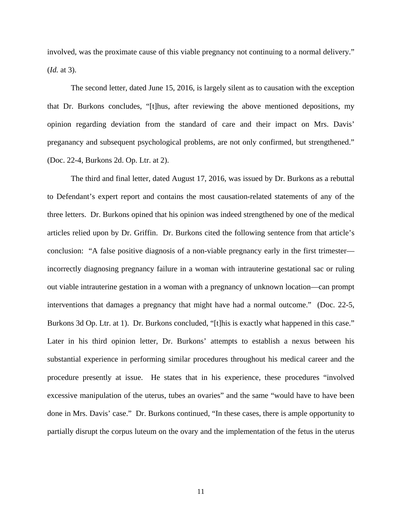involved, was the proximate cause of this viable pregnancy not continuing to a normal delivery." (*Id.* at 3).

The second letter, dated June 15, 2016, is largely silent as to causation with the exception that Dr. Burkons concludes, "[t]hus, after reviewing the above mentioned depositions, my opinion regarding deviation from the standard of care and their impact on Mrs. Davis' preganancy and subsequent psychological problems, are not only confirmed, but strengthened." (Doc. 22-4, Burkons 2d. Op. Ltr. at 2).

The third and final letter, dated August 17, 2016, was issued by Dr. Burkons as a rebuttal to Defendant's expert report and contains the most causation-related statements of any of the three letters. Dr. Burkons opined that his opinion was indeed strengthened by one of the medical articles relied upon by Dr. Griffin. Dr. Burkons cited the following sentence from that article's conclusion: "A false positive diagnosis of a non-viable pregnancy early in the first trimester incorrectly diagnosing pregnancy failure in a woman with intrauterine gestational sac or ruling out viable intrauterine gestation in a woman with a pregnancy of unknown location—can prompt interventions that damages a pregnancy that might have had a normal outcome." (Doc. 22-5, Burkons 3d Op. Ltr. at 1). Dr. Burkons concluded, "[t]his is exactly what happened in this case." Later in his third opinion letter, Dr. Burkons' attempts to establish a nexus between his substantial experience in performing similar procedures throughout his medical career and the procedure presently at issue. He states that in his experience, these procedures "involved excessive manipulation of the uterus, tubes an ovaries" and the same "would have to have been done in Mrs. Davis' case." Dr. Burkons continued, "In these cases, there is ample opportunity to partially disrupt the corpus luteum on the ovary and the implementation of the fetus in the uterus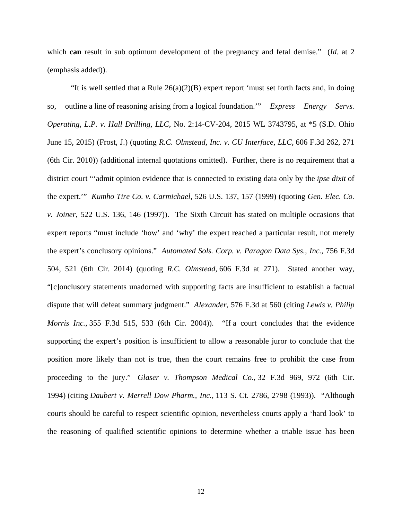which **can** result in sub optimum development of the pregnancy and fetal demise." (*Id.* at 2 (emphasis added)).

"It is well settled that a Rule  $26(a)(2)(B)$  expert report 'must set forth facts and, in doing so, outline a line of reasoning arising from a logical foundation.'" *Express Energy Servs. Operating, L.P. v. Hall Drilling, LLC*, No. 2:14-CV-204, 2015 WL 3743795, at \*5 (S.D. Ohio June 15, 2015) (Frost, J.) (quoting *R.C. Olmstead, Inc. v. CU Interface, LLC,* 606 F.3d 262, 271 (6th Cir. 2010)) (additional internal quotations omitted). Further, there is no requirement that a district court "'admit opinion evidence that is connected to existing data only by the *ipse dixit* of the expert.'" *Kumho Tire Co. v. Carmichael*, 526 U.S. 137, 157 (1999) (quoting *Gen. Elec. Co. v. Joiner*, 522 U.S. 136, 146 (1997)). The Sixth Circuit has stated on multiple occasions that expert reports "must include 'how' and 'why' the expert reached a particular result, not merely the expert's conclusory opinions." *Automated Sols. Corp. v. Paragon Data Sys., Inc.*, 756 F.3d 504, 521 (6th Cir. 2014) (quoting *R.C. Olmstead*, 606 F.3d at 271). Stated another way, "[c]onclusory statements unadorned with supporting facts are insufficient to establish a factual dispute that will defeat summary judgment." *Alexander*, 576 F.3d at 560 (citing *Lewis v. Philip Morris Inc.*, 355 F.3d 515, 533 (6th Cir. 2004)). "If a court concludes that the evidence supporting the expert's position is insufficient to allow a reasonable juror to conclude that the position more likely than not is true, then the court remains free to prohibit the case from proceeding to the jury." *Glaser v. Thompson Medical Co.*, 32 F.3d 969, 972 (6th Cir. 1994) (citing *Daubert v. Merrell Dow Pharm., Inc.,* 113 S. Ct. 2786, 2798 (1993)). "Although courts should be careful to respect scientific opinion, nevertheless courts apply a 'hard look' to the reasoning of qualified scientific opinions to determine whether a triable issue has been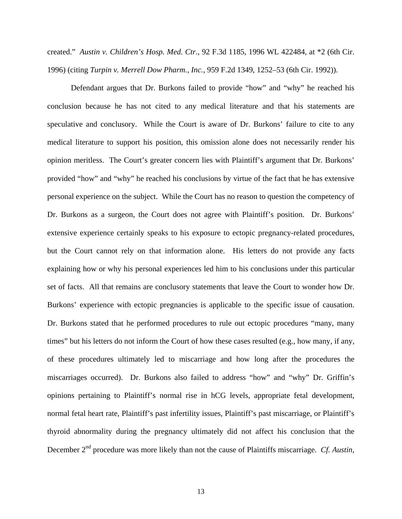created." *Austin v. Children's Hosp. Med. Ctr.*, 92 F.3d 1185, 1996 WL 422484, at \*2 (6th Cir. 1996) (citing *Turpin v. Merrell Dow Pharm., Inc.*, 959 F.2d 1349, 1252–53 (6th Cir. 1992)).

Defendant argues that Dr. Burkons failed to provide "how" and "why" he reached his conclusion because he has not cited to any medical literature and that his statements are speculative and conclusory. While the Court is aware of Dr. Burkons' failure to cite to any medical literature to support his position, this omission alone does not necessarily render his opinion meritless. The Court's greater concern lies with Plaintiff's argument that Dr. Burkons' provided "how" and "why" he reached his conclusions by virtue of the fact that he has extensive personal experience on the subject. While the Court has no reason to question the competency of Dr. Burkons as a surgeon, the Court does not agree with Plaintiff's position. Dr. Burkons' extensive experience certainly speaks to his exposure to ectopic pregnancy-related procedures, but the Court cannot rely on that information alone. His letters do not provide any facts explaining how or why his personal experiences led him to his conclusions under this particular set of facts. All that remains are conclusory statements that leave the Court to wonder how Dr. Burkons' experience with ectopic pregnancies is applicable to the specific issue of causation. Dr. Burkons stated that he performed procedures to rule out ectopic procedures "many, many times" but his letters do not inform the Court of how these cases resulted (e.g., how many, if any, of these procedures ultimately led to miscarriage and how long after the procedures the miscarriages occurred). Dr. Burkons also failed to address "how" and "why" Dr. Griffin's opinions pertaining to Plaintiff's normal rise in hCG levels, appropriate fetal development, normal fetal heart rate, Plaintiff's past infertility issues, Plaintiff's past miscarriage, or Plaintiff's thyroid abnormality during the pregnancy ultimately did not affect his conclusion that the December 2<sup>nd</sup> procedure was more likely than not the cause of Plaintiffs miscarriage. *Cf. Austin*,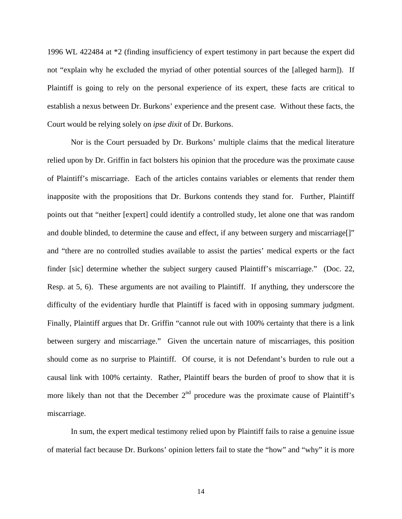1996 WL 422484 at \*2 (finding insufficiency of expert testimony in part because the expert did not "explain why he excluded the myriad of other potential sources of the [alleged harm]). If Plaintiff is going to rely on the personal experience of its expert, these facts are critical to establish a nexus between Dr. Burkons' experience and the present case. Without these facts, the Court would be relying solely on *ipse dixit* of Dr. Burkons.

Nor is the Court persuaded by Dr. Burkons' multiple claims that the medical literature relied upon by Dr. Griffin in fact bolsters his opinion that the procedure was the proximate cause of Plaintiff's miscarriage. Each of the articles contains variables or elements that render them inapposite with the propositions that Dr. Burkons contends they stand for. Further, Plaintiff points out that "neither [expert] could identify a controlled study, let alone one that was random and double blinded, to determine the cause and effect, if any between surgery and miscarriage[]" and "there are no controlled studies available to assist the parties' medical experts or the fact finder [sic] determine whether the subject surgery caused Plaintiff's miscarriage." (Doc. 22, Resp. at 5, 6). These arguments are not availing to Plaintiff. If anything, they underscore the difficulty of the evidentiary hurdle that Plaintiff is faced with in opposing summary judgment. Finally, Plaintiff argues that Dr. Griffin "cannot rule out with 100% certainty that there is a link between surgery and miscarriage." Given the uncertain nature of miscarriages, this position should come as no surprise to Plaintiff. Of course, it is not Defendant's burden to rule out a causal link with 100% certainty. Rather, Plaintiff bears the burden of proof to show that it is more likely than not that the December  $2<sup>nd</sup>$  procedure was the proximate cause of Plaintiff's miscarriage.

In sum, the expert medical testimony relied upon by Plaintiff fails to raise a genuine issue of material fact because Dr. Burkons' opinion letters fail to state the "how" and "why" it is more